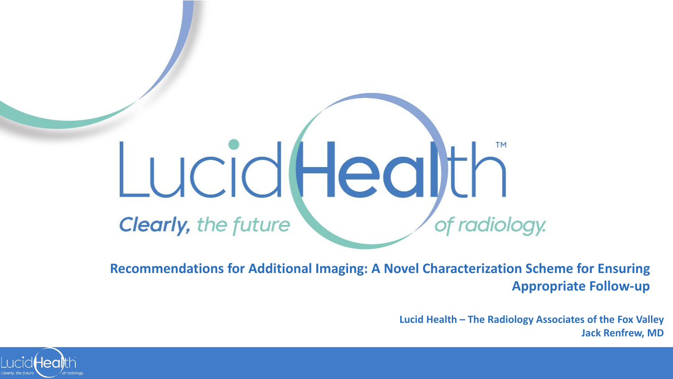

**Recommendations for Additional Imaging: A Novel Characterization Scheme for Ensuring Appropriate Follow-up**

> **Lucid Health – The Radiology Associates of the Fox Valley Jack Renfrew, MD**

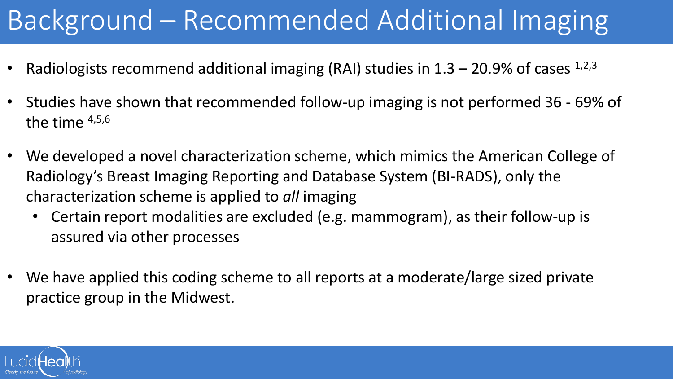# Background – Recommended Additional Imaging

- Radiologists recommend additional imaging (RAI) studies in  $1.3 20.9\%$  of cases  $^{1,2,3}$
- Studies have shown that recommended follow-up imaging is not performed 36 69% of the time  $4,5,6$
- We developed a novel characterization scheme, which mimics the American College of Radiology's Breast Imaging Reporting and Database System (BI-RADS), only the characterization scheme is applied to *all* imaging
	- Certain report modalities are excluded (e.g. mammogram), as their follow-up is assured via other processes
- We have applied this coding scheme to all reports at a moderate/large sized private practice group in the Midwest.

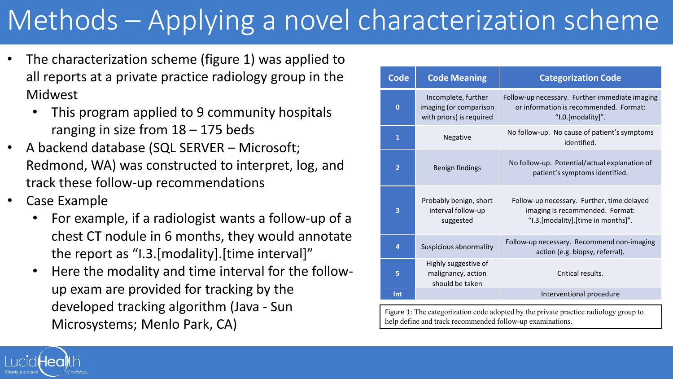# Methods – Applying a novel characterization scheme

- The characterization scheme (figure 1) was applied to all reports at a private practice radiology group in the Midwest
	- This program applied to 9 community hospitals ranging in size from  $18 - 175$  beds
- A backend database (SQL SERVER Microsoft; Redmond, WA) was constructed to interpret, log, and track these follow-up recommendations
- Case Example
	- For example, if a radiologist wants a follow-up of a chest CT nodule in 6 months, they would annotate the report as "I.3.[modality].[time interval]"
	- Here the modality and time interval for the followup exam are provided for tracking by the developed tracking algorithm (Java - Sun Microsystems; Menlo Park, CA)

| <b>Code</b>             | <b>Code Meaning</b>                                                       | <b>Categorization Code</b>                                                                                          |  |  |
|-------------------------|---------------------------------------------------------------------------|---------------------------------------------------------------------------------------------------------------------|--|--|
| $\bf{0}$                | Incomplete, further<br>imaging (or comparison<br>with priors) is required | Follow-up necessary. Further immediate imaging<br>or information is recommended. Format:<br>"I.0.[modality]".       |  |  |
| $\overline{\mathbf{1}}$ | Negative                                                                  | No follow-up. No cause of patient's symptoms<br>identified.                                                         |  |  |
| $\overline{2}$          | Benign findings                                                           | No follow-up. Potential/actual explanation of<br>patient's symptoms identified.                                     |  |  |
| 3                       | Probably benign, short<br>interval follow-up<br>suggested                 | Follow-up necessary. Further, time delayed<br>imaging is recommended. Format:<br>"I.3.[modality].[time in months]". |  |  |
| 4                       | Suspicious abnormality                                                    | Follow-up necessary. Recommend non-imaging<br>action (e.g. biopsy, referral).                                       |  |  |
| 5                       | Highly suggestive of<br>malignancy, action<br>should be taken             | Critical results.                                                                                                   |  |  |
| Int                     |                                                                           | Interventional procedure                                                                                            |  |  |

Figure 1: The categorization code adopted by the private practice radiology group to help define and track recommended follow-up examinations.

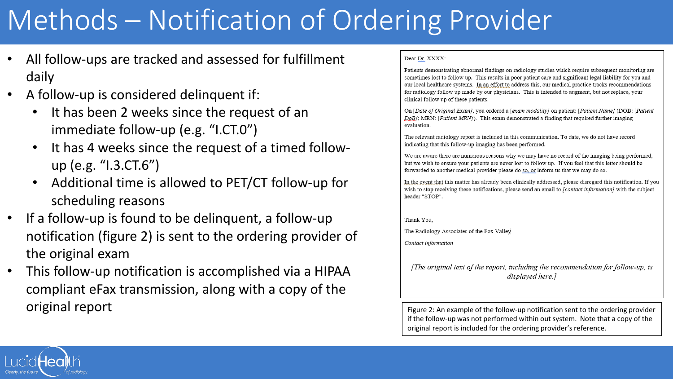# Methods – Notification of Ordering Provider

- All follow-ups are tracked and assessed for fulfillment daily
- A follow-up is considered delinquent if:
	- It has been 2 weeks since the request of an immediate follow-up (e.g. "I.CT.0")
	- It has 4 weeks since the request of a timed followup (e.g. "I.3.CT.6")
	- Additional time is allowed to PET/CT follow-up for scheduling reasons
- If a follow-up is found to be delinquent, a follow-up notification (figure 2) is sent to the ordering provider of the original exam
- This follow-up notification is accomplished via a HIPAA compliant eFax transmission, along with a copy of the **original report Figure 2:** An example of the follow-up notification sent to the ordering provider

#### Dear Dr. XXXX:

Patients demonstrating abnormal findings on radiology studies which require subsequent monitoring are sometimes lost to follow up. This results in poor patient care and significant legal liability for you and our local healthcare systems. In an effort to address this, our medical practice tracks recommendations for radiology follow up made by our physicians. This is intended to augment, but not replace, your clinical follow up of these patients.

On [Date of Original Exam], you ordered a [exam modality] on patient: [Patient Name] (DOB: [Patient DoB]; MRN: [Patient MRN]). This exam demonstrated a finding that required further imaging evaluation.

The relevant radiology report is included in this communication. To date, we do not have record indicating that this follow-up imaging has been performed.

We are aware there are numerous reasons why we may have no record of the imaging being performed, but we wish to ensure your patients are never lost to follow up. If you feel that this letter should be forwarded to another medical provider please do so, or inform us that we may do so.

In the event that this matter has already been clinically addressed, please disregard this notification. If you wish to stop receiving these notifications, please send an email to *[contact information]* with the subject header "STOP".

#### Thank You,

The Radiology Associates of the Fox Valley

Contact information

[The original text of the report, including the recommendation for follow-up, is displayed here.]

if the follow-up was not performed within out system. Note that a copy of the original report is included for the ordering provider's reference.

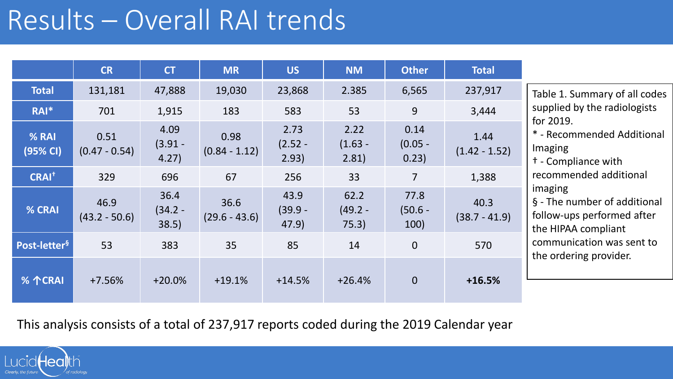### Results – Overall RAI trends

|                          | <b>CR</b>               | <b>CT</b>                 | <b>MR</b>               | <b>US</b>                  | <b>NM</b>                  | <b>Other</b>               | <b>Total</b>            |                                                                                                                                                                               |
|--------------------------|-------------------------|---------------------------|-------------------------|----------------------------|----------------------------|----------------------------|-------------------------|-------------------------------------------------------------------------------------------------------------------------------------------------------------------------------|
| <b>Total</b>             | 131,181                 | 47,888                    | 19,030                  | 23,868                     | 2.385                      | 6,565                      | 237,917                 | Table 1. Summary of all codes                                                                                                                                                 |
| RAI*                     | 701                     | 1,915                     | 183                     | 583                        | 53                         | 9                          | 3,444                   | supplied by the radiologists                                                                                                                                                  |
| % RAI<br>(95% CI)        | 0.51<br>$(0.47 - 0.54)$ | 4.09<br>$(3.91 -$<br>4.27 | 0.98<br>$(0.84 - 1.12)$ | 2.73<br>$(2.52 -$<br>2.93) | 2.22<br>$(1.63 -$<br>2.81  | 0.14<br>$(0.05 -$<br>0.23) | 1.44<br>$(1.42 - 1.52)$ | for 2019.<br>* - Recommended Additional<br>Imaging<br><sup>†</sup> - Compliance with                                                                                          |
| <b>CRAI<sup>t</sup></b>  | 329                     | 696                       | 67                      | 256                        | 33                         | $\overline{7}$             | 1,388                   | recommended additional<br>imaging<br>§ - The number of additional<br>follow-ups performed after<br>the HIPAA compliant<br>communication was sent to<br>the ordering provider. |
| % CRAI                   | 46.9<br>$(43.2 - 50.6)$ | 36.4<br>$(34.2 -$<br>38.5 | 36.6<br>$(29.6 - 43.6)$ | 43.9<br>$(39.9 -$<br>47.9) | 62.2<br>$(49.2 -$<br>75.3) | 77.8<br>$(50.6 -$<br>100)  | 40.3<br>$(38.7 - 41.9)$ |                                                                                                                                                                               |
| Post-letter <sup>§</sup> | 53                      | 383                       | 35                      | 85                         | 14                         | $\overline{0}$             | 570                     |                                                                                                                                                                               |
| <b>%个CRAI</b>            | $+7.56%$                | $+20.0%$                  | $+19.1%$                | $+14.5%$                   | $+26.4%$                   | $\overline{0}$             | $+16.5%$                |                                                                                                                                                                               |

This analysis consists of a total of 237,917 reports coded during the 2019 Calendar year

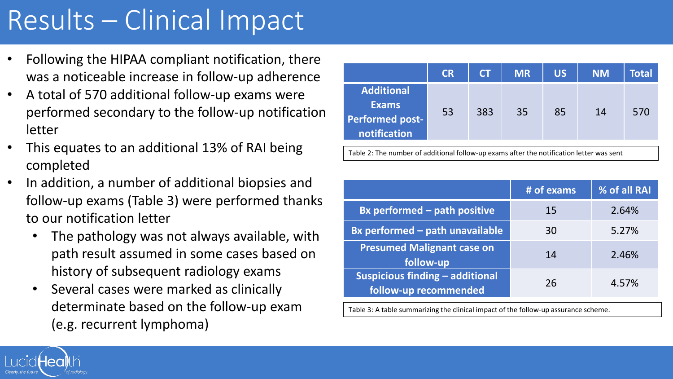## Results – Clinical Impact

- Following the HIPAA compliant notification, there was a noticeable increase in follow-up adherence
- A total of 570 additional follow-up exams were performed secondary to the follow-up notification letter
- This equates to an additional 13% of RAI being completed
- In addition, a number of additional biopsies and follow-up exams (Table 3) were performed thanks to our notification letter
	- The pathology was not always available, with path result assumed in some cases based on history of subsequent radiology exams
	- Several cases were marked as clinically determinate based on the follow-up exam (e.g. recurrent lymphoma)

|                                                                                          | <b>CR</b> | <b>CT</b> | <b>MR</b> | <b>US</b> | <b>NM</b> | Total |
|------------------------------------------------------------------------------------------|-----------|-----------|-----------|-----------|-----------|-------|
| Additional<br><b>Exams</b><br><b>Performed post-</b><br>notification                     | 53        | 383       | 35        | 85        | 14        | 570   |
| Table 2: The number of additional follow-up exams after the notification letter was sent |           |           |           |           |           |       |

|                                                                 | # of exams | % of all RAI |
|-----------------------------------------------------------------|------------|--------------|
| <b>Bx performed - path positive</b>                             | 15         | 2.64%        |
| <b>Bx performed - path unavailable</b>                          | 30         | 5.27%        |
| <b>Presumed Malignant case on</b><br>follow-up                  | 14         | 2.46%        |
| <b>Suspicious finding - additional</b><br>follow-up recommended | 26         | 4.57%        |

Table 3: A table summarizing the clinical impact of the follow-up assurance scheme.

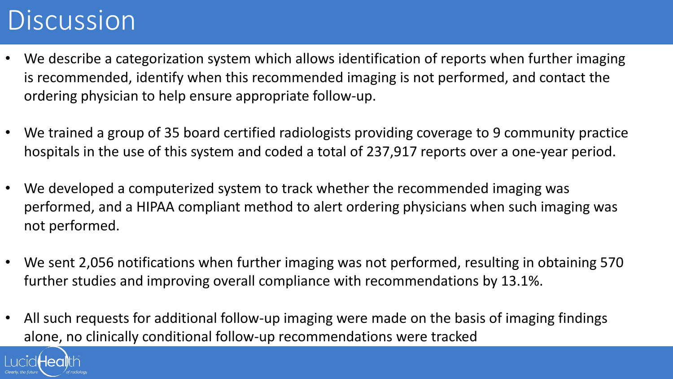### Discussion

- We describe a categorization system which allows identification of reports when further imaging is recommended, identify when this recommended imaging is not performed, and contact the ordering physician to help ensure appropriate follow-up.
- We trained a group of 35 board certified radiologists providing coverage to 9 community practice hospitals in the use of this system and coded a total of 237,917 reports over a one-year period.
- We developed a computerized system to track whether the recommended imaging was performed, and a HIPAA compliant method to alert ordering physicians when such imaging was not performed.
- We sent 2,056 notifications when further imaging was not performed, resulting in obtaining 570 further studies and improving overall compliance with recommendations by 13.1%.
- All such requests for additional follow-up imaging were made on the basis of imaging findings alone, no clinically conditional follow-up recommendations were tracked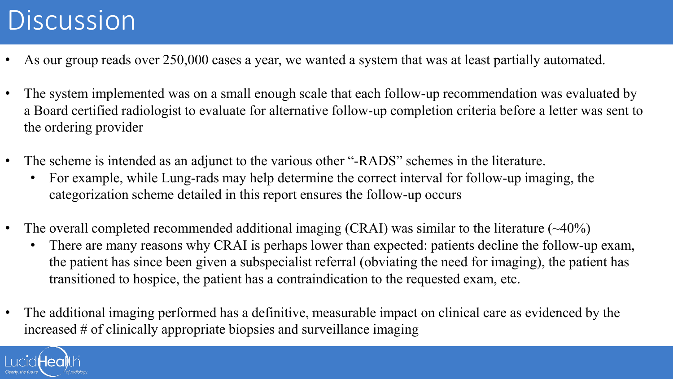## Discussion

- As our group reads over 250,000 cases a year, we wanted a system that was at least partially automated.
- The system implemented was on a small enough scale that each follow-up recommendation was evaluated by a Board certified radiologist to evaluate for alternative follow-up completion criteria before a letter was sent to the ordering provider
- The scheme is intended as an adjunct to the various other "-RADS" schemes in the literature.
	- For example, while Lung-rads may help determine the correct interval for follow-up imaging, the categorization scheme detailed in this report ensures the follow-up occurs
- The overall completed recommended additional imaging (CRAI) was similar to the literature  $(\sim40\%)$ 
	- There are many reasons why CRAI is perhaps lower than expected: patients decline the follow-up exam, the patient has since been given a subspecialist referral (obviating the need for imaging), the patient has transitioned to hospice, the patient has a contraindication to the requested exam, etc.
- The additional imaging performed has a definitive, measurable impact on clinical care as evidenced by the increased # of clinically appropriate biopsies and surveillance imaging

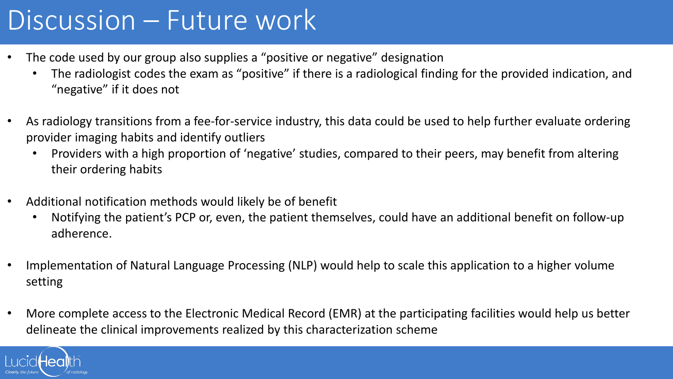### Discussion – Future work

- The code used by our group also supplies a "positive or negative" designation
	- The radiologist codes the exam as "positive" if there is a radiological finding for the provided indication, and "negative" if it does not
- As radiology transitions from a fee-for-service industry, this data could be used to help further evaluate ordering provider imaging habits and identify outliers
	- Providers with a high proportion of 'negative' studies, compared to their peers, may benefit from altering their ordering habits
- Additional notification methods would likely be of benefit
	- Notifying the patient's PCP or, even, the patient themselves, could have an additional benefit on follow-up adherence.
- Implementation of Natural Language Processing (NLP) would help to scale this application to a higher volume setting
- More complete access to the Electronic Medical Record (EMR) at the participating facilities would help us better delineate the clinical improvements realized by this characterization scheme